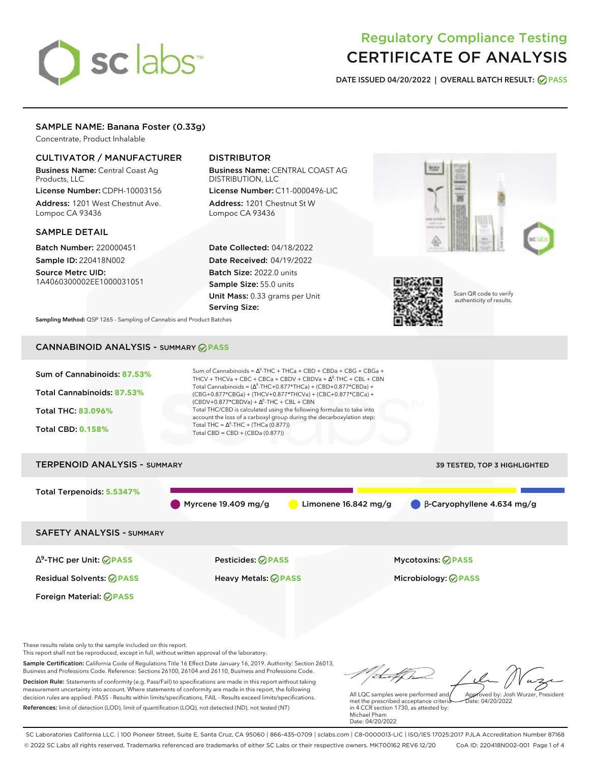# sclabs<sup>\*</sup>

# Regulatory Compliance Testing CERTIFICATE OF ANALYSIS

**DATE ISSUED 04/20/2022 | OVERALL BATCH RESULT: PASS**

# SAMPLE NAME: Banana Foster (0.33g)

Concentrate, Product Inhalable

# CULTIVATOR / MANUFACTURER

Business Name: Central Coast Ag Products, LLC

License Number: CDPH-10003156 Address: 1201 West Chestnut Ave. Lompoc CA 93436

# SAMPLE DETAIL

Batch Number: 220000451 Sample ID: 220418N002

Source Metrc UID: 1A4060300002EE1000031051

# DISTRIBUTOR

Business Name: CENTRAL COAST AG DISTRIBUTION, LLC License Number: C11-0000496-LIC

Address: 1201 Chestnut St W Lompoc CA 93436

Date Collected: 04/18/2022 Date Received: 04/19/2022 Batch Size: 2022.0 units Sample Size: 55.0 units Unit Mass: 0.33 grams per Unit Serving Size:





Scan QR code to verify authenticity of results.

**Sampling Method:** QSP 1265 - Sampling of Cannabis and Product Batches

# CANNABINOID ANALYSIS - SUMMARY **PASS**



These results relate only to the sample included on this report.

This report shall not be reproduced, except in full, without written approval of the laboratory.

Sample Certification: California Code of Regulations Title 16 Effect Date January 16, 2019. Authority: Section 26013, Business and Professions Code. Reference: Sections 26100, 26104 and 26110, Business and Professions Code. Decision Rule: Statements of conformity (e.g. Pass/Fail) to specifications are made in this report without taking measurement uncertainty into account. Where statements of conformity are made in this report, the following decision rules are applied: PASS - Results within limits/specifications, FAIL - Results exceed limits/specifications.

References: limit of detection (LOD), limit of quantification (LOQ), not detected (ND), not tested (NT)

Approved by: Josh Wurzer, President

 $ate: 04/20/2022$ 

All LQC samples were performed and met the prescribed acceptance criteria in 4 CCR section 1730, as attested by: Michael Pham Date: 04/20/2022

SC Laboratories California LLC. | 100 Pioneer Street, Suite E, Santa Cruz, CA 95060 | 866-435-0709 | sclabs.com | C8-0000013-LIC | ISO/IES 17025:2017 PJLA Accreditation Number 87168 © 2022 SC Labs all rights reserved. Trademarks referenced are trademarks of either SC Labs or their respective owners. MKT00162 REV6 12/20 CoA ID: 220418N002-001 Page 1 of 4